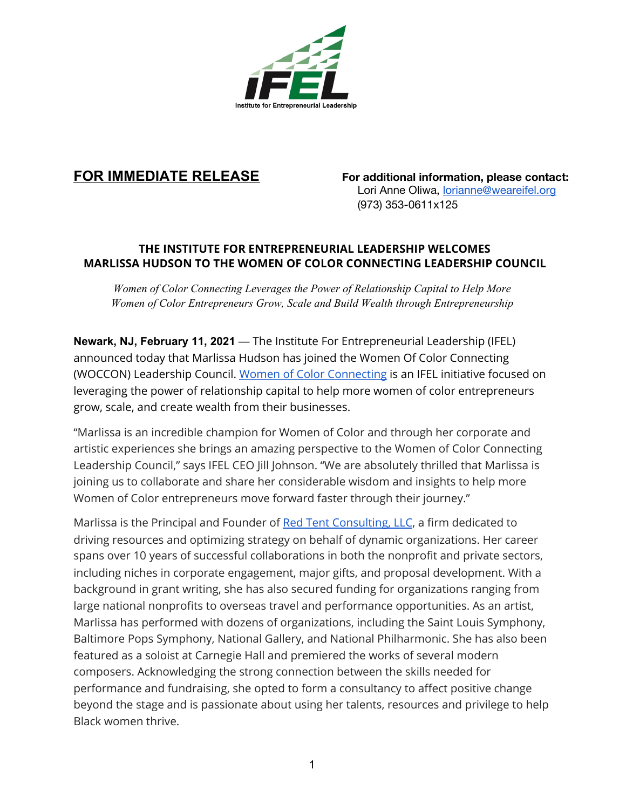

**FOR IMMEDIATE RELEASE For additional information, please contact:** Lori Anne Oliwa, [lorianne@weareifel.org](mailto:lorianne@weareifel.org) (973) 353-0611x125

## **THE INSTITUTE FOR ENTREPRENEURIAL LEADERSHIP WELCOMES MARLISSA HUDSON TO THE WOMEN OF COLOR CONNECTING LEADERSHIP COUNCIL**

*Women of Color Connecting Leverages the Power of Relationship Capital to Help More Women of Color Entrepreneurs Grow, Scale and Build Wealth through Entrepreneurship*

**Newark, NJ, February 11, 2021** — The Institute For Entrepreneurial Leadership (IFEL) announced today that Marlissa Hudson has joined the Women Of Color Connecting (WOCCON) Leadership Council. Women of Color [Connecting](https://www.woccon.org/) is an IFEL initiative focused on leveraging the power of relationship capital to help more women of color entrepreneurs grow, scale, and create wealth from their businesses.

"Marlissa is an incredible champion for Women of Color and through her corporate and artistic experiences she brings an amazing perspective to the Women of Color Connecting Leadership Council," says IFEL CEO Jill Johnson. "We are absolutely thrilled that Marlissa is joining us to collaborate and share her considerable wisdom and insights to help more Women of Color entrepreneurs move forward faster through their journey."

Marlissa is the Principal and Founder of Red Tent [Consulting,](http://redtentconsulting.com/) LLC, a firm dedicated to driving resources and optimizing strategy on behalf of dynamic organizations. Her career spans over 10 years of successful collaborations in both the nonprofit and private sectors, including niches in corporate engagement, major gifts, and proposal development. With a background in grant writing, she has also secured funding for organizations ranging from large national nonprofits to overseas travel and performance opportunities. As an artist, Marlissa has performed with dozens of organizations, including the Saint Louis Symphony, Baltimore Pops Symphony, National Gallery, and National Philharmonic. She has also been featured as a soloist at Carnegie Hall and premiered the works of several modern composers. Acknowledging the strong connection between the skills needed for performance and fundraising, she opted to form a consultancy to affect positive change beyond the stage and is passionate about using her talents, resources and privilege to help Black women thrive.